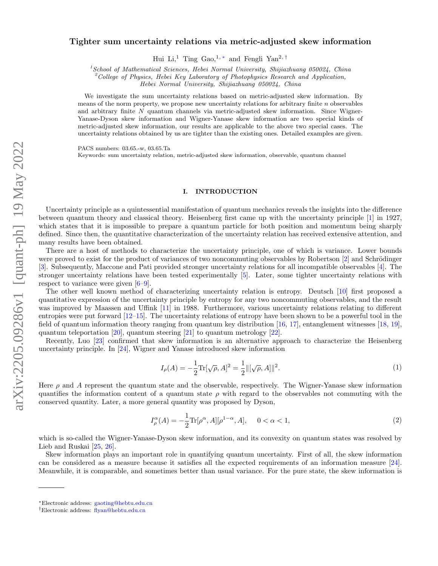# Tighter sum uncertainty relations via metric-adjusted skew information

Hui Li,<sup>1</sup> Ting Gao,<sup>1,\*</sup> and Fengli Yan<sup>2,[†](#page-0-1)</sup>

 $1$ School of Mathematical Sciences, Hebei Normal University, Shijiazhuang 050024, China

<sup>2</sup>College of Physics, Hebei Key Laboratory of Photophysics Research and Application,

Hebei Normal University, Shijiazhuang 050024, China

We investigate the sum uncertainty relations based on metric-adjusted skew information. By means of the norm property, we propose new uncertainty relations for arbitrary finite  $n$  observables and arbitrary finite N quantum channels via metric-adjusted skew information. Since Wigner-Yanase-Dyson skew information and Wigner-Yanase skew information are two special kinds of metric-adjusted skew information, our results are applicable to the above two special cases. The uncertainty relations obtained by us are tighter than the existing ones. Detailed examples are given.

PACS numbers: 03.65.-w, 03.65.Ta

Keywords: sum uncertainty relation, metric-adjusted skew information, observable, quantum channel

#### I. INTRODUCTION

Uncertainty principle as a quintessential manifestation of quantum mechanics reveals the insights into the difference between quantum theory and classical theory. Heisenberg first came up with the uncertainty principle [\[1\]](#page-9-0) in 1927, which states that it is impossible to prepare a quantum particle for both position and momentum being sharply defined. Since then, the quantitative characterization of the uncertainty relation has received extensive attention, and many results have been obtained.

There are a host of methods to characterize the uncertainty principle, one of which is variance. Lower bounds were proved to exist for the product of variances of two noncommuting observables by Robertson [\[2\]](#page-9-1) and Schrödinger [\[3\]](#page-9-2). Subsequently, Maccone and Pati provided stronger uncertainty relations for all incompatible observables [\[4\]](#page-9-3). The stronger uncertainty relations have been tested experimentally [\[5\]](#page-9-4). Later, some tighter uncertainty relations with respect to variance were given [\[6–](#page-9-5)[9\]](#page-9-6).

The other well known method of characterizing uncertainty relation is entropy. Deutsch [\[10\]](#page-9-7) first proposed a quantitative expression of the uncertainty principle by entropy for any two noncommuting observables, and the result was improved by Maassen and Uffink [\[11\]](#page-9-8) in 1988. Furthermore, various uncertainty relations relating to different entropies were put forward [\[12](#page-9-9)[–15\]](#page-9-10). The uncertainty relations of entropy have been shown to be a powerful tool in the field of quantum information theory ranging from quantum key distribution [\[16,](#page-9-11) [17\]](#page-9-12), entanglement witnesses [\[18,](#page-9-13) [19\]](#page-9-14), quantum teleportation [\[20\]](#page-9-15), quantum steering [\[21\]](#page-9-16) to quantum metrology [\[22\]](#page-9-17).

Recently, Luo [\[23\]](#page-9-18) confirmed that skew information is an alternative approach to characterize the Heisenberg uncertainty principle. In [\[24\]](#page-9-19), Wigner and Yanase introduced skew information

$$
I_{\rho}(A) = -\frac{1}{2} \text{Tr}[\sqrt{\rho}, A]^2 = \frac{1}{2} ||[\sqrt{\rho}, A]||^2.
$$
 (1)

Here  $\rho$  and A represent the quantum state and the observable, respectively. The Wigner-Yanase skew information quantifies the information content of a quantum state  $\rho$  with regard to the observables not commuting with the conserved quantity. Later, a more general quantity was proposed by Dyson,

$$
I_{\rho}^{\alpha}(A) = -\frac{1}{2} \text{Tr}[\rho^{\alpha}, A][\rho^{1-\alpha}, A], \quad 0 < \alpha < 1,\tag{2}
$$

which is so-called the Wigner-Yanase-Dyson skew information, and its convexity on quantum states was resolved by Lieb and Ruskai [\[25,](#page-9-20) [26\]](#page-9-21).

Skew information plays an important role in quantifying quantum uncertainty. First of all, the skew information can be considered as a measure because it satisfies all the expected requirements of an information measure [\[24\]](#page-9-19). Meanwhile, it is comparable, and sometimes better than usual variance. For the pure state, the skew information is

<span id="page-0-0"></span><sup>∗</sup>Electronic address: [gaoting@hebtu.edu.cn](mailto:gaoting@hebtu.edu.cn)

<span id="page-0-1"></span><sup>†</sup>Electronic address: [flyan@hebtu.edu.cn](mailto:flyan@hebtu.edu.cn)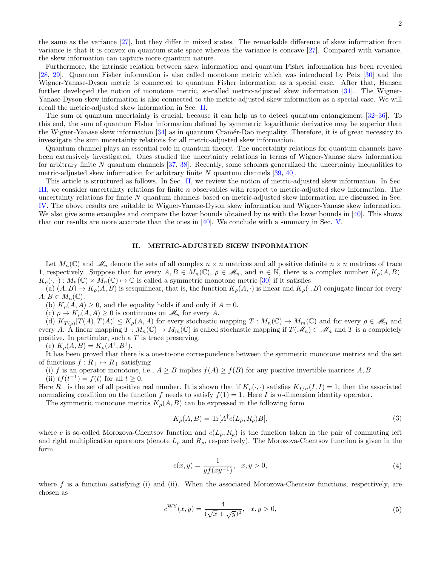the same as the variance [\[27\]](#page-9-22), but they differ in mixed states. The remarkable difference of skew information from variance is that it is convex on quantum state space whereas the variance is concave [\[27\]](#page-9-22). Compared with variance, the skew information can capture more quantum nature.

Furthermore, the intrinsic relation between skew information and quantum Fisher information has been revealed [\[28,](#page-9-23) [29\]](#page-9-24). Quantum Fisher information is also called monotone metric which was introduced by Petz [\[30\]](#page-9-25) and the Wigner-Yanase-Dyson metric is connected to quantum Fisher information as a special case. After that, Hansen further developed the notion of monotone metric, so-called metric-adjusted skew information [\[31\]](#page-9-26). The Wigner-Yanase-Dyson skew information is also connected to the metric-adjusted skew information as a special case. We will recall the metric-adjusted skew information in Sec. [II.](#page-1-0)

The sum of quantum uncertainty is crucial, because it can help us to detect quantum entanglement [\[32–](#page-9-27)[36\]](#page-9-28). To this end, the sum of quantum Fisher information defined by symmetric logarithmic derivative may be superior than the Wigner-Yanase skew information  $[34]$  as in quantum Cramér-Rao inequality. Therefore, it is of great necessity to investigate the sum uncertainty relations for all metric-adjusted skew information.

Quantum channel plays an essential role in quantum theory. The uncertainty relations for quantum channels have been extensively investigated. Ones studied the uncertainty relations in terms of Wigner-Yanase skew information for arbitrary finite  $N$  quantum channels [\[37,](#page-10-0) [38\]](#page-10-1). Recently, some scholars generalized the uncertainty inequalities to metric-adjusted skew information for arbitrary finite N quantum channels  $[39, 40]$  $[39, 40]$  $[39, 40]$ .

This article is structured as follows. In Sec. [II,](#page-1-0) we review the notion of metric-adjusted skew information. In Sec. [III,](#page-2-0) we consider uncertainty relations for finite n observables with respect to metric-adjusted skew information. The uncertainty relations for finite N quantum channels based on metric-adjusted skew information are discussed in Sec. [IV.](#page-5-0) The above results are suitable to Wigner-Yanase-Dyson skew information and Wigner-Yanase skew information. We also give some examples and compare the lower bounds obtained by us with the lower bounds in [\[40\]](#page-10-3). This shows that our results are more accurate than the ones in  $[40]$ . We conclude with a summary in Sec. [V.](#page-8-0)

## <span id="page-1-0"></span>II. METRIC-ADJUSTED SKEW INFORMATION

Let  $M_n(\mathbb{C})$  and  $\mathcal{M}_n$  denote the sets of all complex  $n \times n$  matrices and all positive definite  $n \times n$  matrices of trace 1, respectively. Suppose that for every  $A, B \in M_n(\mathbb{C}), \rho \in \mathcal{M}_n$ , and  $n \in \mathbb{N}$ , there is a complex number  $K_\rho(A, B)$ .  $K_o(\cdot, \cdot) : M_n(\mathbb{C}) \times M_n(\mathbb{C}) \to \mathbb{C}$  is called a symmetric monotone metric [\[30\]](#page-9-25) if it satisfies

(a)  $(A, B) \rightarrow K_p(A, B)$  is sesquilinear, that is, the function  $K_p(A, \cdot)$  is linear and  $K_p(\cdot, B)$  conjugate linear for every  $A, B \in M_n(\mathbb{C}).$ 

(b)  $K_{\rho}(A, A) \geq 0$ , and the equality holds if and only if  $A = 0$ .

(c)  $\rho \mapsto K_{\rho}(A, A) \geq 0$  is continuous on  $\mathcal{M}_n$  for every A.

(d)  $K_{T(\rho)}[T(A), T(A)] \leq K_{\rho}(A, A)$  for every stochastic mapping  $T: M_n(\mathbb{C}) \to M_m(\mathbb{C})$  and for every  $\rho \in \mathscr{M}_n$  and every A. A linear mapping  $T: M_n(\mathbb{C}) \to M_m(\mathbb{C})$  is called stochastic mapping if  $T(\mathcal{M}_n) \subset \mathcal{M}_n$  and T is a completely positive. In particular, such a  $T$  is trace preserving.

(e)  $K_{\rho}(A, B) = K_{\rho}(A^{\dagger}, B^{\dagger}).$ 

It has been proved that there is a one-to-one correspondence between the symmetric monotone metrics and the set of functions  $f: R_+ \mapsto R_+$  satisfying

(i) f is an operator monotone, i.e.,  $A \geq B$  implies  $f(A) \geq f(B)$  for any positive invertible matrices A, B. (ii)  $tf(t^{-1}) = f(t)$  for all  $t \geq 0$ .

Here  $R_+$  is the set of all positive real number. It is shown that if  $K_\rho(\cdot, \cdot)$  satisfies  $K_{I/n}(I, I) = 1$ , then the associated normalizing condition on the function f needs to satisfy  $f(1) = 1$ . Here I is n-dimension identity operator.

The symmetric monotone metrics  $K_{\rho}(A, B)$  can be expressed in the following form

$$
K_{\rho}(A,B) = \text{Tr}[A^{\dagger}c(L_{\rho}, R_{\rho})B],\tag{3}
$$

where c is so-called Morozova-Chentsov function and  $c(L_\rho, R_\rho)$  is the function taken in the pair of commuting left and right multiplication operators (denote  $L_\rho$  and  $R_\rho$ , respectively). The Morozova-Chentsov function is given in the form

$$
c(x,y) = \frac{1}{y f(xy^{-1})}, \quad x, y > 0,
$$
\n(4)

where f is a function satisfying (i) and (ii). When the associated Morozova-Chentsov functions, respectively, are chosen as

$$
c^{WY}(x,y) = \frac{4}{(\sqrt{x} + \sqrt{y})^2}, \quad x, y > 0,
$$
\n(5)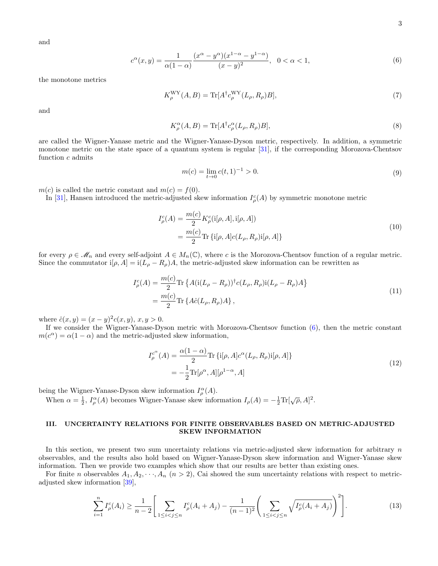and

<span id="page-2-1"></span>
$$
c^{\alpha}(x,y) = \frac{1}{\alpha(1-\alpha)} \frac{(x^{\alpha} - y^{\alpha})(x^{1-\alpha} - y^{1-\alpha})}{(x-y)^{2}}, \quad 0 < \alpha < 1,
$$
 (6)

the monotone metrics

$$
K_{\rho}^{\rm WY}(A,B) = \text{Tr}[A^{\dagger}c_{\rho}^{\rm WY}(L_{\rho},R_{\rho})B],\tag{7}
$$

and

$$
K_{\rho}^{\alpha}(A,B) = \text{Tr}[A^{\dagger}c_{\rho}^{\alpha}(L_{\rho}, R_{\rho})B], \qquad (8)
$$

are called the Wigner-Yanase metric and the Wigner-Yanase-Dyson metric, respectively. In addition, a symmetric monotone metric on the state space of a quantum system is regular [\[31\]](#page-9-26), if the corresponding Morozova-Chentsov function  $c$  admits

$$
m(c) = \lim_{t \to 0} c(t, 1)^{-1} > 0.
$$
\n(9)

 $m(c)$  is called the metric constant and  $m(c) = f(0)$ .

In [\[31\]](#page-9-26), Hansen introduced the metric-adjusted skew information  $I_{\rho}^{c}(A)$  by symmetric monotone metric

$$
I_{\rho}^{c}(A) = \frac{m(c)}{2} K_{\rho}^{c}(i[\rho, A], i[\rho, A])
$$
  
= 
$$
\frac{m(c)}{2} \text{Tr} \{i[\rho, A]c(L_{\rho}, R_{\rho})i[\rho, A] \}
$$
 (10)

for every  $\rho \in \mathcal{M}_n$  and every self-adjoint  $A \in M_n(\mathbb{C})$ , where c is the Morozova-Chentsov function of a regular metric. Since the commutator i[ $\rho$ , A] = i( $L_{\rho} - R_{\rho}$ )A, the metric-adjusted skew information can be rewritten as

$$
I_{\rho}^{c}(A) = \frac{m(c)}{2} \text{Tr} \left\{ A(i(L_{\rho} - R_{\rho}))^{\dagger} c(L_{\rho}, R_{\rho}) i(L_{\rho} - R_{\rho}) A \right\}
$$
  
= 
$$
\frac{m(c)}{2} \text{Tr} \left\{ A \hat{c}(L_{\rho}, R_{\rho}) A \right\},
$$
 (11)

where  $\hat{c}(x, y) = (x - y)^2 c(x, y), x, y > 0.$ 

If we consider the Wigner-Yanase-Dyson metric with Morozova-Chentsov function [\(6\)](#page-2-1), then the metric constant  $m(c^{\alpha}) = \alpha(1 - \alpha)$  and the metric-adjusted skew information,

$$
I_{\rho}^{c^{\alpha}}(A) = \frac{\alpha(1-\alpha)}{2} \text{Tr} \left\{ i[\rho, A] c^{\alpha}(L_{\rho}, R_{\rho}) i[\rho, A] \right\}
$$

$$
= -\frac{1}{2} \text{Tr}[\rho^{\alpha}, A][\rho^{1-\alpha}, A]
$$
(12)

being the Wigner-Yanase-Dyson skew information  $I_{\rho}^{\alpha}(A)$ .

When  $\alpha = \frac{1}{2}$ ,  $I_{\rho}^{\alpha}(A)$  becomes Wigner-Yanase skew information  $I_{\rho}(A) = -\frac{1}{2} \text{Tr}[\sqrt{\rho}, A]^2$ .

## <span id="page-2-0"></span>III. UNCERTAINTY RELATIONS FOR FINITE OBSERVABLES BASED ON METRIC-ADJUSTED SKEW INFORMATION

In this section, we present two sum uncertainty relations via metric-adjusted skew information for arbitrary  $n$ observables, and the results also hold based on Wigner-Yanase-Dyson skew information and Wigner-Yanase skew information. Then we provide two examples which show that our results are better than existing ones.

For finite n observables  $A_1, A_2, \dots, A_n$   $(n > 2)$ , Cai showed the sum uncertainty relations with respect to metricadjusted skew information [\[39\]](#page-10-2),

<span id="page-2-2"></span>
$$
\sum_{i=1}^{n} I_{\rho}^{c}(A_{i}) \ge \frac{1}{n-2} \Bigg[ \sum_{1 \le i < j \le n} I_{\rho}^{c}(A_{i} + A_{j}) - \frac{1}{(n-1)^{2}} \Bigg( \sum_{1 \le i < j \le n} \sqrt{I_{\rho}^{c}(A_{i} + A_{j})} \Bigg)^{2} \Bigg]. \tag{13}
$$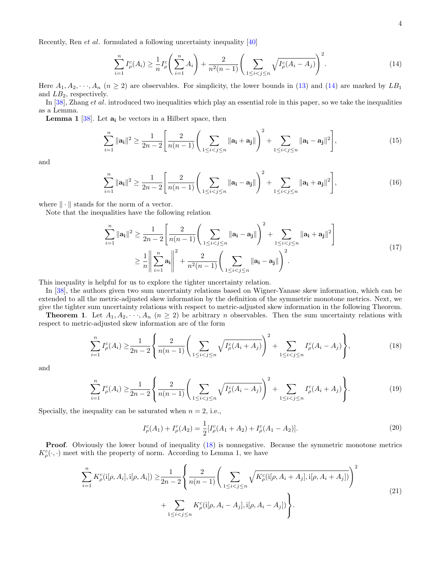Recently, Ren et al. formulated a following uncertainty inequality [\[40\]](#page-10-3)

<span id="page-3-0"></span>
$$
\sum_{i=1}^{n} I_{\rho}^{c}(A_{i}) \geq \frac{1}{n} I_{\rho}^{c}\left(\sum_{i=1}^{n} A_{i}\right) + \frac{2}{n^{2}(n-1)} \left(\sum_{1 \leq i < j \leq n} \sqrt{I_{\rho}^{c}(A_{i} - A_{j})}\right)^{2}.\tag{14}
$$

Here  $A_1, A_2, \dots, A_n$   $(n \ge 2)$  are observables. For simplicity, the lower bounds in [\(13\)](#page-2-2) and [\(14\)](#page-3-0) are marked by  $LB_1$ and  $LB_2$ , respectively.

In [\[38\]](#page-10-1), Zhang et al. introduced two inequalities which play an essential role in this paper, so we take the inequalities as a Lemma.

**Lemma 1** [\[38\]](#page-10-1). Let  $a_i$  be vectors in a Hilbert space, then

$$
\sum_{i=1}^{n} \|\mathbf{a_i}\|^2 \ge \frac{1}{2n-2} \left[ \frac{2}{n(n-1)} \left( \sum_{1 \le i < j \le n} \|\mathbf{a_i} + \mathbf{a_j}\| \right)^2 + \sum_{1 \le i < j \le n} \|\mathbf{a_i} - \mathbf{a_j}\|^2 \right],\tag{15}
$$

and

$$
\sum_{i=1}^{n} \|\mathbf{a_i}\|^2 \ge \frac{1}{2n-2} \left[ \frac{2}{n(n-1)} \left( \sum_{1 \le i < j \le n} \|\mathbf{a_i} - \mathbf{a_j}\| \right)^2 + \sum_{1 \le i < j \le n} \|\mathbf{a_i} + \mathbf{a_j}\|^2 \right],\tag{16}
$$

where  $\|\cdot\|$  stands for the norm of a vector.

Note that the inequalities have the following relation

$$
\sum_{i=1}^{n} \|\mathbf{a}_{i}\|^{2} \ge \frac{1}{2n-2} \left[ \frac{2}{n(n-1)} \left( \sum_{1 \le i < j \le n} \|\mathbf{a}_{i} - \mathbf{a}_{j}\| \right)^{2} + \sum_{1 \le i < j \le n} \|\mathbf{a}_{i} + \mathbf{a}_{j}\|^{2} \right] \ge \frac{1}{n} \left\| \sum_{i=1}^{n} \mathbf{a}_{i} \right\|^{2} + \frac{2}{n^{2}(n-1)} \left( \sum_{1 \le i < j \le n} \|\mathbf{a}_{i} - \mathbf{a}_{j}\| \right)^{2} . \tag{17}
$$

This inequality is helpful for us to explore the tighter uncertainty relation.

In [\[38\]](#page-10-1), the authors given two sum uncertainty relations based on Wigner-Yanase skew information, which can be extended to all the metric-adjusted skew information by the definition of the symmetric monotone metrics. Next, we give the tighter sum uncertainty relations with respect to metric-adjusted skew information in the following Theorem.

**Theorem 1.** Let  $A_1, A_2, \dots, A_n$   $(n \geq 2)$  be arbitrary n observables. Then the sum uncertainty relations with respect to metric-adjusted skew information are of the form

<span id="page-3-1"></span>
$$
\sum_{i=1}^{n} I_{\rho}^{c}(A_{i}) \geq \frac{1}{2n-2} \left\{ \frac{2}{n(n-1)} \left( \sum_{1 \leq i < j \leq n} \sqrt{I_{\rho}^{c}(A_{i} + A_{j})} \right)^{2} + \sum_{1 \leq i < j \leq n} I_{\rho}^{c}(A_{i} - A_{j}) \right\},\tag{18}
$$

and

<span id="page-3-2"></span>
$$
\sum_{i=1}^{n} I_{\rho}^{c}(A_{i}) \geq \frac{1}{2n-2} \left\{ \frac{2}{n(n-1)} \left( \sum_{1 \leq i < j \leq n} \sqrt{I_{\rho}^{c}(A_{i} - A_{j})} \right)^{2} + \sum_{1 \leq i < j \leq n} I_{\rho}^{c}(A_{i} + A_{j}) \right\}.
$$
\n<sup>(19)</sup>

Specially, the inequality can be saturated when  $n = 2$ , i.e.,

$$
I_{\rho}^{c}(A_1) + I_{\rho}^{c}(A_2) = \frac{1}{2} [I_{\rho}^{c}(A_1 + A_2) + I_{\rho}^{c}(A_1 - A_2)].
$$
\n(20)

Proof. Obviously the lower bound of inequality [\(18\)](#page-3-1) is nonnegative. Because the symmetric monotone metrics  $K^c_{\rho}(\cdot, \cdot)$  meet with the property of norm. According to Lemma 1, we have

$$
\sum_{i=1}^{n} K_{\rho}^{c}(i[\rho, A_{i}], i[\rho, A_{i}]) \geq \frac{1}{2n-2} \left\{ \frac{2}{n(n-1)} \left( \sum_{1 \leq i < j \leq n} \sqrt{K_{\rho}^{c}(i[\rho, A_{i} + A_{j}], i[\rho, A_{i} + A_{j}])} \right)^{2} + \sum_{1 \leq i < j \leq n} K_{\rho}^{c}(i[\rho, A_{i} - A_{j}], i[\rho, A_{i} - A_{j}]) \right\}.
$$
\n
$$
(21)
$$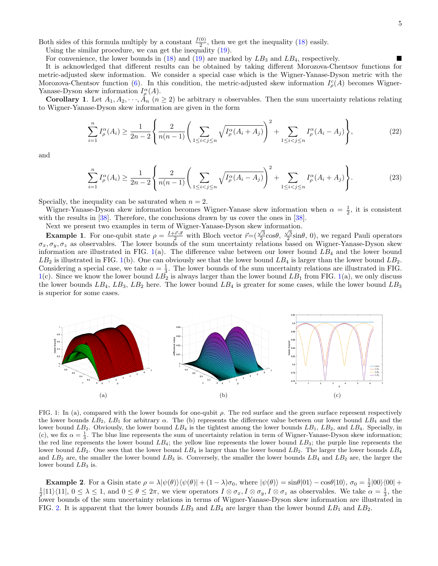Both sides of this formula multiply by a constant  $\frac{f(0)}{2}$ , then we get the inequality [\(18\)](#page-3-1) easily.

Using the similar procedure, we can get the inequality [\(19\)](#page-3-2).

For convenience, the lower bounds in  $(18)$  and  $(19)$  are marked by  $LB<sub>3</sub>$  and  $LB<sub>4</sub>$ , respectively.

It is acknowledged that different results can be obtained by taking different Morozova-Chentsov functions for metric-adjusted skew information. We consider a special case which is the Wigner-Yanase-Dyson metric with the Morozova-Chentsov function [\(6\)](#page-2-1). In this condition, the metric-adjusted skew information  $I_{\rho}^c(A)$  becomes Wigner-Yanase-Dyson skew information  $I_{\rho}^{\alpha}(A)$ .

**Corollary 1.** Let  $A_1, A_2, \dots, A_n$   $(n \geq 2)$  be arbitrary *n* observables. Then the sum uncertainty relations relating to Wigner-Yanase-Dyson skew information are given in the form

$$
\sum_{i=1}^{n} I_{\rho}^{\alpha}(A_i) \ge \frac{1}{2n-2} \left\{ \frac{2}{n(n-1)} \left( \sum_{1 \le i < j \le n} \sqrt{I_{\rho}^{\alpha}(A_i + A_j)} \right)^2 + \sum_{1 \le i < j \le n} I_{\rho}^{\alpha}(A_i - A_j) \right\},\tag{22}
$$

and

$$
\sum_{i=1}^{n} I_{\rho}^{\alpha}(A_i) \ge \frac{1}{2n-2} \left\{ \frac{2}{n(n-1)} \left( \sum_{1 \le i < j \le n} \sqrt{I_{\rho}^{\alpha}(A_i - A_j)} \right)^2 + \sum_{1 \le i < j \le n} I_{\rho}^{\alpha}(A_i + A_j) \right\} . \tag{23}
$$

Specially, the inequality can be saturated when  $n = 2$ .

Wigner-Yanase-Dyson skew information becomes Wigner-Yanase skew information when  $\alpha = \frac{1}{2}$ , it is consistent with the results in [\[38\]](#page-10-1). Therefore, the conclusions drawn by us cover the ones in [38].

Next we present two examples in term of Wigner-Yanase-Dyson skew information.

**Example 1.** For one-qubit state  $\rho = \frac{I + \vec{r} \cdot \vec{\sigma}}{2}$  with Bloch vector  $\vec{r} = (\frac{\sqrt{3}}{2} \cos \theta, \frac{\sqrt{3}}{2} \sin \theta, 0)$ , we regard Pauli operators  $\sigma_x, \sigma_y, \sigma_z$  as observables. The lower bounds of the sum uncertainty relations based on Wigner-Yanase-Dyson skew information are illustrated in FIG.  $1(a)$  $1(a)$ . The difference value between our lower bound  $LB<sub>4</sub>$  and the lower bound  $LB_2$  is illustrated in FIG. [1\(](#page-4-0)b). One can obviously see that the lower bound  $LB_4$  is larger than the lower bound  $LB_2$ . Considering a special case, we take  $\alpha = \frac{1}{3}$ . The lower bounds of the sum uncertainty relations are illustrated in FIG.  $1(c)$  $1(c)$ . Since we know the lower bound  $L\overline{B_2}$  is always larger than the lower bound  $LB_1$  from FIG. 1(a), we only discuss the lower bounds  $LB_4$ ,  $LB_3$ ,  $LB_2$  here. The lower bound  $LB_4$  is greater for some cases, while the lower bound  $LB_3$ is superior for some cases.



<span id="page-4-0"></span>FIG. 1: In (a), compared with the lower bounds for one-qubit  $\rho$ . The red surface and the green surface represent respectively the lower bounds  $LB_2$ ,  $LB_1$  for arbitrary  $\alpha$ . The (b) represents the difference value between our lower bound  $LB_4$  and the lower bound  $LB_2$ . Obviously, the lower bound  $LB_4$  is the tightest among the lower bounds  $LB_1$ ,  $LB_2$ , and  $LB_4$ . Specially, in (c), we fix  $\alpha = \frac{1}{3}$ . The blue line represents the sum of uncertainty relation in term of Wigner-Yanase-Dyson skew information; the red line represents the lower bound  $LB_4$ ; the yellow line represents the lower bound  $LB_3$ ; the purple line represents the lower bound  $LB_2$ . One sees that the lower bound  $LB_4$  is larger than the lower bound  $LB_2$ . The larger the lower bounds  $LB_4$ and  $LB_2$  are, the smaller the lower bound  $LB_3$  is. Conversely, the smaller the lower bounds  $LB_4$  and  $LB_2$  are, the larger the lower bound  $LB<sub>3</sub>$  is.

**Example 2**. For a Gisin state  $\rho = \lambda |\psi(\theta)\rangle\langle \psi(\theta)| + (1 - \lambda)\sigma_0$ , where  $|\psi(\theta)\rangle = \sin\theta |01\rangle - \cos\theta |10\rangle$ ,  $\sigma_0 = \frac{1}{2} |00\rangle \langle 00| +$  $\frac{1}{2}$ [11} $\langle 11|, 0 \leq \lambda \leq 1$ , and  $0 \leq \theta \leq 2\pi$ , we view operators  $I \otimes \sigma_x, I \otimes \sigma_y, I \otimes \sigma_z$  as observables. We take  $\alpha = \frac{1}{3}$ , the lower bounds of the sum uncertainty relations in terms of Wigner-Yanase-Dyson skew information are illustrated in FIG. [2.](#page-5-1) It is apparent that the lower bounds  $LB_3$  and  $LB_4$  are larger than the lower bound  $LB_1$  and  $LB_2$ .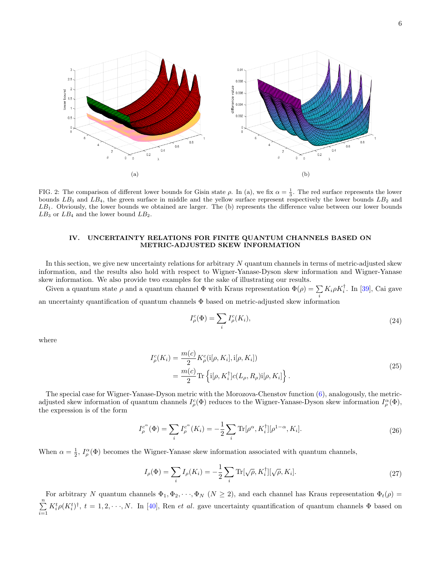

<span id="page-5-1"></span>FIG. 2: The comparison of different lower bounds for Gisin state  $\rho$ . In (a), we fix  $\alpha = \frac{1}{3}$ . The red surface represents the lower bounds  $LB_3$  and  $LB_4$ , the green surface in middle and the yellow surface represent respectively the lower bounds  $LB_2$  and  $LB<sub>1</sub>$ . Obviously, the lower bounds we obtained are larger. The (b) represents the difference value between our lower bounds  $LB_3$  or  $LB_4$  and the lower bound  $LB_2$ .

### <span id="page-5-0"></span>IV. UNCERTAINTY RELATIONS FOR FINITE QUANTUM CHANNELS BASED ON METRIC-ADJUSTED SKEW INFORMATION

In this section, we give new uncertainty relations for arbitrary  $N$  quantum channels in terms of metric-adjusted skew information, and the results also hold with respect to Wigner-Yanase-Dyson skew information and Wigner-Yanase skew information. We also provide two examples for the sake of illustrating our results.

Given a quantum state  $\rho$  and a quantum channel  $\Phi$  with Kraus representation  $\Phi(\rho) = \sum$  $\sum_i K_i \rho K_i^{\dagger}$ . In [\[39\]](#page-10-2), Cai gave

an uncertainty quantification of quantum channels  $\Phi$  based on metric-adjusted skew information

$$
I_{\rho}^{c}(\Phi) = \sum_{i} I_{\rho}^{c}(K_{i}), \qquad (24)
$$

where

$$
I_{\rho}^{c}(K_{i}) = \frac{m(c)}{2} K_{\rho}^{c}(i[\rho, K_{i}], i[\rho, K_{i}])
$$
  
= 
$$
\frac{m(c)}{2} \text{Tr} \left\{ i[\rho, K_{i}^{\dagger}] c(L_{\rho}, R_{\rho}) i[\rho, K_{i}] \right\}.
$$
 (25)

The special case for Wigner-Yanase-Dyson metric with the Morozova-Chenstov function [\(6\)](#page-2-1), analogously, the metricadjusted skew information of quantum channels  $I_\rho^c(\Phi)$  reduces to the Wigner-Yanase-Dyson skew information  $I_\rho^\alpha(\Phi)$ , the expression is of the form

$$
I_{\rho}^{c^{\alpha}}(\Phi) = \sum_{i} I_{\rho}^{c^{\alpha}}(K_{i}) = -\frac{1}{2} \sum_{i} \text{Tr}[\rho^{\alpha}, K_{i}^{\dagger}][\rho^{1-\alpha}, K_{i}].
$$
 (26)

When  $\alpha = \frac{1}{2}$ ,  $I_{\rho}^{\alpha}(\Phi)$  becomes the Wigner-Yanase skew information associated with quantum channels,

$$
I_{\rho}(\Phi) = \sum_{i} I_{\rho}(K_{i}) = -\frac{1}{2} \sum_{i} \text{Tr}[\sqrt{\rho}, K_{i}^{\dagger}][\sqrt{\rho}, K_{i}].
$$
\n(27)

For arbitrary N quantum channels  $\Phi_1, \Phi_2, \cdots, \Phi_N$   $(N \geq 2)$ , and each channel has Kraus representation  $\Phi_t(\rho)$  $\sum_{n=1}^{\infty}$  $i=1$  $K_i^t \rho (K_i^t)^{\dagger}$ ,  $t = 1, 2, \dots, N$ . In [\[40\]](#page-10-3), Ren *et al.* gave uncertainty quantification of quantum channels  $\Phi$  based on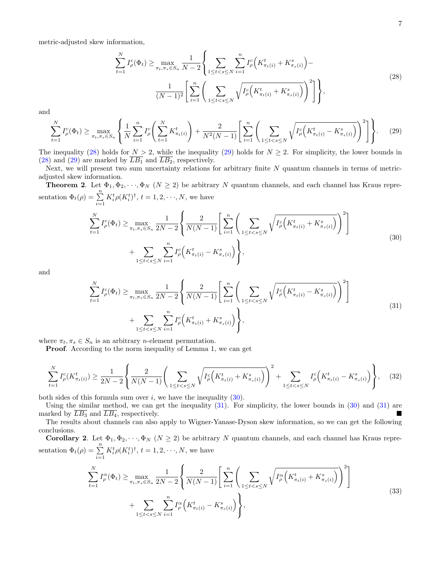metric-adjusted skew information,

<span id="page-6-0"></span>
$$
\sum_{t=1}^{N} I_{\rho}^{c}(\Phi_{t}) \geq \max_{\pi_{t}, \pi_{s} \in S_{n}} \frac{1}{N-2} \left\{ \sum_{1 \leq t < s \leq N} \sum_{i=1}^{n} I_{\rho}^{c} \left( K_{\pi_{t}(i)}^{t} + K_{\pi_{s}(i)}^{s} \right) - \frac{1}{(N-1)^{2}} \left[ \sum_{i=1}^{n} \left( \sum_{1 \leq t < s \leq N} \sqrt{I_{\rho}^{c} \left( K_{\pi_{t}(i)}^{t} + K_{\pi_{s}(i)}^{s} \right)} \right)^{2} \right] \right\},\tag{28}
$$

and

<span id="page-6-1"></span>
$$
\sum_{t=1}^{N} I_{\rho}^{c}(\Phi_{t}) \geq \max_{\pi_{t}, \pi_{s} \in S_{n}} \left\{ \frac{1}{N} \sum_{i=1}^{n} I_{\rho}^{c} \left( \sum_{t=1}^{N} K_{\pi_{t}(i)}^{t} \right) + \frac{2}{N^{2}(N-1)} \left[ \sum_{i=1}^{n} \left( \sum_{1 \leq t < s \leq N} \sqrt{I_{\rho}^{c} \left( K_{\pi_{t}(i)}^{t} - K_{\pi_{s}(i)}^{s} \right)} \right)^{2} \right] \right\}.
$$
 (29)

The inequality [\(28\)](#page-6-0) holds for  $N \geq 2$ , while the inequality [\(29\)](#page-6-1) holds for  $N \geq 2$ . For simplicity, the lower bounds in [\(28\)](#page-6-0) and [\(29\)](#page-6-1) are marked by  $\overline{LB_1}$  and  $\overline{LB_2}$ , respectively.

Next, we will present two sum uncertainty relations for arbitrary finite N quantum channels in terms of metricadjusted skew information.

**Theorem 2.** Let  $\Phi_1, \Phi_2, \dots, \Phi_N$  ( $N \geq 2$ ) be arbitrary N quantum channels, and each channel has Kraus representation  $\Phi_t(\rho) = \sum_{i=1}^n$  $K_i^t \rho(K_i^t)^{\dagger}, t = 1, 2, \dots, N$ , we have

<span id="page-6-2"></span>
$$
\sum_{t=1}^{N} I_{\rho}^{c}(\Phi_{t}) \geq \max_{\pi_{t}, \pi_{s} \in S_{n}} \frac{1}{2N-2} \left\{ \frac{2}{N(N-1)} \left[ \sum_{i=1}^{n} \left( \sum_{1 \leq t < s \leq N} \sqrt{I_{\rho}^{c} \left( K_{\pi_{t}(i)}^{t} + K_{\pi_{s}(i)}^{s} \right)} \right)^{2} \right] + \sum_{1 \leq t < s \leq N} \sum_{i=1}^{n} I_{\rho}^{c} \left( K_{\pi_{t}(i)}^{t} - K_{\pi_{s}(i)}^{s} \right) \right\},\tag{30}
$$

and

<span id="page-6-3"></span>
$$
\sum_{t=1}^{N} I_{\rho}^{c}(\Phi_{t}) \geq \max_{\pi_{t}, \pi_{s} \in S_{n}} \frac{1}{2N-2} \left\{ \frac{2}{N(N-1)} \left[ \sum_{i=1}^{n} \left( \sum_{1 \leq t < s \leq N} \sqrt{I_{\rho}^{c} \left( K_{\pi_{t}(i)}^{t} - K_{\pi_{s}(i)}^{s} \right)} \right)^{2} \right] + \sum_{1 \leq t < s \leq N} \sum_{i=1}^{n} I_{\rho}^{c} \left( K_{\pi_{t}(i)}^{t} + K_{\pi_{s}(i)}^{s} \right) \right\},\tag{31}
$$

where  $\pi_t, \pi_s \in S_n$  is an arbitrary *n*-element permutation.

Proof. According to the norm inequality of Lemma 1, we can get

$$
\sum_{t=1}^{N} I_{\rho}^{c}(K_{\pi_{t}(i)}^{t}) \geq \frac{1}{2N-2} \left\{ \frac{2}{N(N-1)} \left( \sum_{1 \leq t < s \leq N} \sqrt{I_{\rho}^{c}\left(K_{\pi_{t}(i)}^{t} + K_{\pi_{s}(i)}^{s}\right)} \right)^{2} + \sum_{1 \leq t < s \leq N} I_{\rho}^{c}\left(K_{\pi_{t}(i)}^{t} - K_{\pi_{s}(i)}^{s}\right) \right\},\tag{32}
$$

both sides of this formula sum over  $i$ , we have the inequality  $(30)$ .

Using the similar method, we can get the inequality [\(31\)](#page-6-3). For simplicity, the lower bounds in [\(30\)](#page-6-2) and [\(31\)](#page-6-3) are marked by  $\overline{LB_3}$  and  $\overline{LB_4}$ , respectively.

The results about channels can also apply to Wigner-Yanase-Dyson skew information, so we can get the following conclusions.

Corollary 2. Let  $\Phi_1, \Phi_2, \cdots, \Phi_N$   $(N \geq 2)$  be arbitrary N quantum channels, and each channel has Kraus representation  $\Phi_t(\rho) = \sum_{i=1}^n$  $K_i^t \rho(K_i^t)^{\dagger}, t = 1, 2, \dots, N$ , we have

$$
\sum_{t=1}^{N} I_{\rho}^{\alpha}(\Phi_{t}) \geq \max_{\pi_{t}, \pi_{s} \in S_{n}} \frac{1}{2N-2} \left\{ \frac{2}{N(N-1)} \left[ \sum_{i=1}^{n} \left( \sum_{1 \leq t < s \leq N} \sqrt{I_{\rho}^{\alpha} \left( K_{\pi_{t}(i)}^{t} + K_{\pi_{s}(i)}^{s} \right)} \right)^{2} \right] + \sum_{1 \leq t < s \leq N} \sum_{i=1}^{n} I_{\rho}^{\alpha} \left( K_{\pi_{t}(i)}^{t} - K_{\pi_{s}(i)}^{s} \right) \right\},\tag{33}
$$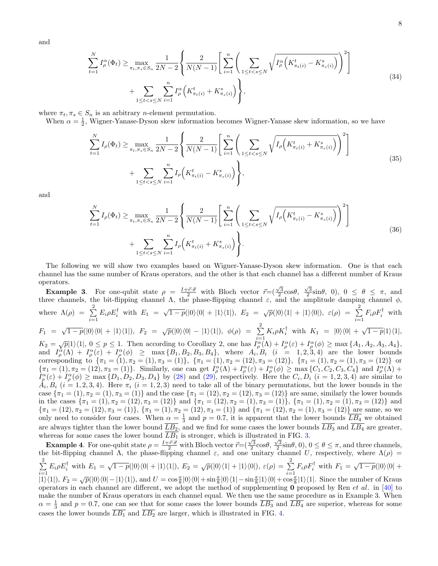and

$$
\sum_{t=1}^{N} I_{\rho}^{\alpha}(\Phi_{t}) \geq \max_{\pi_{t}, \pi_{s} \in S_{n}} \frac{1}{2N-2} \left\{ \frac{2}{N(N-1)} \left[ \sum_{i=1}^{n} \left( \sum_{1 \leq t < s \leq N} \sqrt{I_{\rho}^{\alpha} \left( K_{\pi_{t}(i)}^{t} - K_{\pi_{s}(i)}^{s} \right)} \right)^{2} \right] + \sum_{1 \leq t < s \leq N} \sum_{i=1}^{n} I_{\rho}^{\alpha} \left( K_{\pi_{t}(i)}^{t} + K_{\pi_{s}(i)}^{s} \right) \right\},\tag{34}
$$

where  $\pi_t, \pi_s \in S_n$  is an arbitrary *n*-element permutation.

When  $\alpha = \frac{1}{2}$ , Wigner-Yanase-Dyson skew information becomes Wigner-Yanase skew information, so we have

$$
\sum_{t=1}^{N} I_{\rho}(\Phi_{t}) \ge \max_{\pi_{t}, \pi_{s} \in S_{n}} \frac{1}{2N-2} \left\{ \frac{2}{N(N-1)} \left[ \sum_{i=1}^{n} \left( \sum_{1 \le t < s \le N} \sqrt{I_{\rho} \left( K_{\pi_{t}(i)}^{t} + K_{\pi_{s}(i)}^{s} \right) \right)^{2} \right] + \sum_{1 \le t < s \le N} \sum_{i=1}^{n} I_{\rho} \left( K_{\pi_{t}(i)}^{t} - K_{\pi_{s}(i)}^{s} \right) \right\},\tag{35}
$$

and

$$
\sum_{t=1}^{N} I_{\rho}(\Phi_{t}) \ge \max_{\pi_{t}, \pi_{s} \in S_{n}} \frac{1}{2N-2} \left\{ \frac{2}{N(N-1)} \left[ \sum_{i=1}^{n} \left( \sum_{1 \le t < s \le N} \sqrt{I_{\rho} \left( K_{\pi_{t}(i)}^{t} - K_{\pi_{s}(i)}^{s} \right) \right)^{2} \right] + \sum_{1 \le t < s \le N} \sum_{i=1}^{n} I_{\rho} \left( K_{\pi_{t}(i)}^{t} + K_{\pi_{s}(i)}^{s} \right) \right\}.
$$
\n(36)

The following we will show two examples based on Wigner-Yanase-Dyson skew information. One is that each channel has the same number of Kraus operators, and the other is that each channel has a different number of Kraus operators.

Example 3. For one-qubit state  $\rho = \frac{I + \vec{r} \cdot \vec{\sigma}}{2}$  with Bloch vector  $\vec{r} = (\frac{\sqrt{3}}{2} \cos \theta, \frac{\sqrt{3}}{2} \sin \theta, 0), 0 \le \theta \le \pi$ , and three channels, the bit-flipping channel Λ, the phase-flipping channel  $\varepsilon$ , and the amplitude damping channel  $\phi$ , where  $\Lambda(\rho) = \sum^2$  $\sum_{i=1}^{2} E_i \rho E_i^{\dagger}$  with  $E_1 = \sqrt{1-p}(|0\rangle\langle0| + |1\rangle\langle1|), E_2 = \sqrt{p}(|0\rangle\langle1| + |1\rangle\langle0|), \varepsilon(\rho) = \sum_{i=1}^{2}$  $\sum_{i=1}^{5} F_i \rho F_i^{\dagger}$  with  $F_1 \,\,=\,\, \sqrt{1-p}(|0\rangle\langle 0| \,+\, |1\rangle\langle 1|), \,\,\, F_2 \,\,=\,\, \sqrt{p}(|0\rangle\langle 0| \,-\, |1\rangle\langle 1|), \,\,\, \phi(\rho) \,\,=\,\, \sum_{}^2\, K_i \rho K_i^\dagger \,\,\, {\rm with} \,\,\, K_1 \,\,=\,\, |0\rangle\langle 0| \,+\, \sqrt{1-p}|1\rangle\langle 1|,$ 

 $K_2 = \sqrt{p}|1\rangle\langle 1|, 0 \le p \le 1$ . Then according to Corollary 2, one has  $I_\rho^{\alpha}(\Lambda) + I_\rho^{\alpha}(\varepsilon) + I_\rho^{\alpha}(\phi) \ge \max\{A_1, A_2, A_3, A_4\},\$ and  $I_{\rho}^{\alpha}(\Lambda) + I_{\rho}^{\alpha}(\varepsilon) + I_{\rho}^{\alpha}(\phi) \geq \max\{B_1, B_2, B_3, B_4\},\$  where  $A_i, B_i \ (i = 1, 2, 3, 4)$  are the lower bounds corresponding to  ${\pi_1 = (1), \pi_2 = (1), \pi_3 = (1)}$ ,  ${\pi_1 = (1), \pi_2 = (12), \pi_3 = (12)}$ ,  ${\pi_1 = (1), \pi_2 = (1), \pi_3 = (12)}$  or  $\{\pi_1 = (1), \pi_2 = (12), \pi_3 = (1)\}\.$  Similarly, one can get  $I_\rho^\alpha(\Lambda) + I_\rho^\alpha(\varepsilon) + I_\rho^\alpha(\phi) \ge \max\{C_1, C_2, C_3, C_4\}$  and  $I_\rho^\alpha(\Lambda) + I_\rho^\alpha(\phi)$  $I_{\rho}^{\alpha}(\varepsilon) + I_{\rho}^{\alpha}(\phi) \ge \max\{D_1, D_2, D_3, D_4\}$  by [\(28\)](#page-6-0) and [\(29\)](#page-6-1), respectively. Here the  $C_i, D_i$   $(i = 1, 2, 3, 4)$  are similar to  $A_i, B_i$  ( $i = 1, 2, 3, 4$ ). Here  $\pi_i$  ( $i = 1, 2, 3$ ) need to take all of the binary permutations, but the lower bounds in the case  ${\pi_1 = (1), \pi_2 = (1), \pi_3 = (1)}$  and the case  ${\pi_1 = (12), \pi_2 = (12), \pi_3 = (12)}$  are same, similarly the lower bounds in the cases  ${\pi_1 = (1), \pi_2 = (12), \pi_3 = (12)}$  and  ${\pi_1 = (12), \pi_2 = (1), \pi_3 = (1)}$ ,  ${\pi_1 = (1), \pi_2 = (1), \pi_3 = (12)}$  and  ${\pi_1 = (12), \pi_2 = (12), \pi_3 = (1)}$ ,  ${\pi_1 = (1), \pi_2 = (12), \pi_3 = (1)}$  and  ${\pi_1 = (12), \pi_2 = (1), \pi_3 = (12)}$  are same, so we only need to consider four cases. When  $\alpha = \frac{1}{3}$  and  $p = 0.7$ , it is apparent that the lower bounds  $\overline{LB_4}$  we obtained are always tighter than the lower bound  $\overline{LB_2}$ , and we find for some cases the lower bounds  $\overline{LB_3}$  and  $\overline{LB_4}$  are greater, whereas for some cases the lower bound  $LB<sub>1</sub>$  is stronger, which is illustrated in FIG. [3.](#page-8-1)

Example 4. For one-qubit state  $\rho = \frac{1+\vec{r}\cdot\vec{\sigma}}{2}$  with Bloch vector  $\vec{r} = (\frac{\sqrt{3}}{2}\cos\theta, \frac{\sqrt{3}}{2}\sin\theta, 0), 0 \le \theta \le \pi$ , and three channels, the bit-flipping channel  $\Lambda$ , the phase-flipping channel  $\varepsilon$ , and one unitary channel U, respectively, where  $\Lambda(\rho)$  =  $\sum_{ }^{2}$  $\sum_{i=1}^{2} E_i \rho E_i^{\dagger}$  with  $E_1 = \sqrt{1-p}(|0\rangle\langle0| + |1\rangle\langle1|), E_2 = \sqrt{p}(|0\rangle\langle1| + |1\rangle\langle0|), \varepsilon(\rho) = \sum_{i=1}^{2}$  $\sum_{i=1}^{2} F_i \rho F_i^{\dagger}$  with  $F_1 = \sqrt{1-p}(|0\rangle\langle 0| +$  $\frac{i=1}{\vert1\rangle\langle1\vert}, F_2=\sqrt{p}(\vert0\rangle\langle0\vert - \vert1\rangle\langle1\vert), \text{ and } U=\cos\frac{\pi}{8}\vert0\rangle\langle0\vert + \sin\frac{\pi}{8}\vert0\rangle\langle1\vert - \sin\frac{\pi}{8}\vert1\rangle\langle0\vert + \cos\frac{\pi}{8}\vert1\rangle\langle1\vert.$  Since the number of Kraus operators in each channel are different, we adopt the method of supplementing  $\bf{0}$  proposed by Ren *et al.* in [\[40\]](#page-10-3) to make the number of Kraus operators in each channel equal. We then use the same procedure as in Example 3. When  $\alpha = \frac{1}{3}$  and  $p = 0.7$ , one can see that for some cases the lower bounds  $\overline{LB_3}$  and  $\overline{LB_4}$  are superior, whereas for some cases the lower bounds  $\overline{LB_1}$  and  $\overline{LB_2}$  are larger, which is illustrated in FIG. [4.](#page-8-2)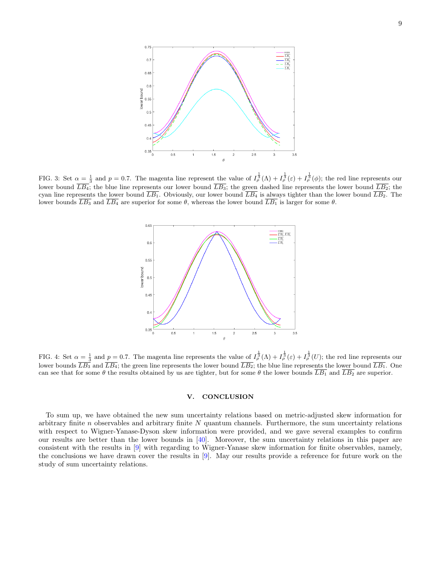

<span id="page-8-1"></span>FIG. 3: Set  $\alpha = \frac{1}{3}$  and  $p = 0.7$ . The magenta line represent the value of  $I_{\rho}^{\frac{1}{3}}(\Lambda) + I_{\rho}^{\frac{1}{3}}(\varepsilon) + I_{\rho}^{\frac{1}{3}}(\phi)$ ; the red line represents our lower bound  $LB_4$ ; the blue line represents our lower bound  $LB_3$ ; the green dashed line represents the lower bound  $LB_2$ ; the cyan line represents the lower bound  $\overline{LB_1}$ . Obviously, our lower bound  $\overline{LB_4}$  is always tighter than the lower bound  $\overline{LB_2}$ . The lower bounds  $\overline{LB_3}$  and  $\overline{LB_4}$  are superior for some  $\theta$ , whereas the lower bound  $\overline{LB_1}$  is larger for some  $\theta$ .



<span id="page-8-2"></span>FIG. 4: Set  $\alpha = \frac{1}{3}$  and  $p = 0.7$ . The magenta line represents the value of  $I_{\rho}^{\frac{1}{3}}(\Lambda) + I_{\rho}^{\frac{1}{3}}(\varepsilon) + I_{\rho}^{\frac{1}{3}}(U)$ ; the red line represents our lower bounds  $\overline{LB_3}$  and  $\overline{LB_4}$ ; the green line represents the lower bound  $\overline{LB_2}$ ; the blue line represents the lower bound  $\overline{LB_1}$ . One can see that for some  $\theta$  the results obtained by us are tighter, but for some  $\theta$  the lower bounds  $\overline{LB_1}$  and  $\overline{LB_2}$  are superior.

# <span id="page-8-0"></span>V. CONCLUSION

To sum up, we have obtained the new sum uncertainty relations based on metric-adjusted skew information for arbitrary finite  $n$  observables and arbitrary finite  $N$  quantum channels. Furthermore, the sum uncertainty relations with respect to Wigner-Yanase-Dyson skew information were provided, and we gave several examples to confirm our results are better than the lower bounds in [\[40\]](#page-10-3). Moreover, the sum uncertainty relations in this paper are consistent with the results in [\[9\]](#page-9-6) with regarding to Wigner-Yanase skew information for finite observables, namely, the conclusions we have drawn cover the results in [\[9\]](#page-9-6). May our results provide a reference for future work on the study of sum uncertainty relations.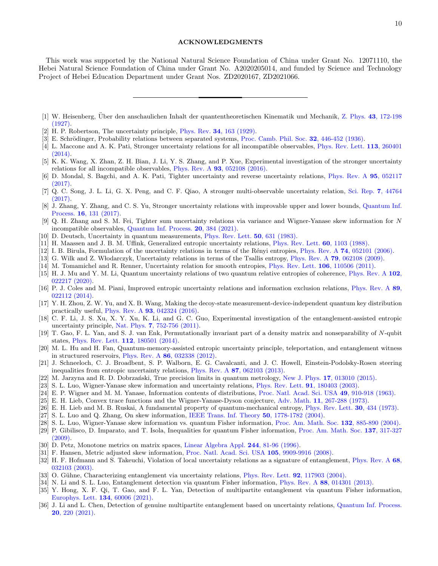### ACKNOWLEDGMENTS

This work was supported by the National Natural Science Foundation of China under Grant No. 12071110, the Hebei Natural Science Foundation of China under Grant No. A2020205014, and funded by Science and Technology Project of Hebei Education Department under Grant Nos. ZD2020167, ZD2021066.

- <span id="page-9-1"></span>[2] H. P. Robertson, The uncertainty principle, Phys. Rev. 34[, 163 \(1929\).](https://journals.aps.org/pr/abstract/10.1103/PhysRev.34.163)
- <span id="page-9-2"></span>[3] E. Schrödinger, Probability relations between separated systems, [Proc. Camb. Phil. Soc.](https://www.cambridge.org/core/journals/mathematical-proceedings-of-the-cambridge-philosophical-society/article/abs/probability-relations-between-separated-systems/641DDDED6FB033A1B190B458E0D02F22) 32, 446-452 (1936).
- <span id="page-9-3"></span>[4] L. Maccone and A. K. Pati, Stronger uncertainty relations for all incompatible observables, [Phys. Rev. Lett.](https://journals.aps.org/prl/abstract/10.1103/PhysRevLett.113.260401) 113, 260401 [\(2014\).](https://journals.aps.org/prl/abstract/10.1103/PhysRevLett.113.260401)
- <span id="page-9-4"></span>[5] K. K. Wang, X. Zhan, Z. H. Bian, J. Li, Y. S. Zhang, and P. Xue, Experimental investigation of the stronger uncertainty relations for all incompatible observables, Phys. Rev. A 93[, 052108 \(2016\).](https://journals.aps.org/pra/abstract/10.1103/PhysRevA.93.052108)
- <span id="page-9-5"></span>[6] D. Mondal, S. Bagchi, and A. K. Pati, Tighter uncertainty and reverse uncertainty relations, [Phys. Rev. A](https://journals.aps.org/pra/abstract/10.1103/PhysRevA.95.052117) 95, 052117 [\(2017\).](https://journals.aps.org/pra/abstract/10.1103/PhysRevA.95.052117)
- [7] Q. C. Song, J. L. Li, G. X. Peng, and C. F. Qiao, A stronger multi-observable uncertainty relation, [Sci. Rep.](https://www.nature.com/articles/srep44764) 7, 44764 [\(2017\).](https://www.nature.com/articles/srep44764)
- [8] J. Zhang, Y. Zhang, and C. S. Yu, Stronger uncertainty relations with improvable upper and lower bounds, [Quantum Inf.](https://link.springer.com/article/10.1007/s11128-017-1585-z) Process. 16[, 131 \(2017\).](https://link.springer.com/article/10.1007/s11128-017-1585-z)
- <span id="page-9-6"></span>[9] Q. H. Zhang and S. M. Fei, Tighter sum uncertainty relations via variance and Wigner-Yanase skew information for N incompatible observables, [Quantum Inf. Process.](https://link.springer.com/article/10.1007/s11128-021-03332-5) 20, 384 (2021).
- <span id="page-9-7"></span>[10] D. Deutsch, Uncertainty in quantum measurements, [Phys. Rev. Lett.](https://journals.aps.org/prl/abstract/10.1103/PhysRevLett.50.631) 50, 631 (1983).
- <span id="page-9-8"></span>[11] H. Maassen and J. B. M. Uffink, Generalized entropic uncertainty relations, [Phys. Rev. Lett.](https://journals.aps.org/prl/abstract/10.1103/PhysRevLett.60.1103 ) 60, 1103 (1988).
- <span id="page-9-9"></span>[12] I. B. Birula, Formulation of the uncertainty relations in terms of the Rényi entropies, Phys. Rev. A 74[, 052101 \(2006\).](https://journals.aps.org/pra/abstract/10.1103/PhysRevA.74.052101)
- [13] G. Wilk and Z. W lodarczyk, Uncertainty relations in terms of the Tsallis entropy, Phys. Rev. A 79[, 062108 \(2009\).](https://journals.aps.org/pra/abstract/10.1103/PhysRevA.79.062108)
- [14] M. Tomamichel and R. Renner, Uncertainty relation for smooth entropies, [Phys. Rev. Lett.](https://journals.aps.org/prl/abstract/10.1103/PhysRevLett.106.110506) 106, 110506 (2011).
- <span id="page-9-10"></span>[15] H. J. Mu and Y. M. Li, Quantum uncertainty relations of two quantum relative entropies of coherence, [Phys. Rev. A](https://journals.aps.org/pra/abstract/10.1103/PhysRevA.102.022217) 102, [022217 \(2020\).](https://journals.aps.org/pra/abstract/10.1103/PhysRevA.102.022217)
- <span id="page-9-11"></span>[16] P. J. Coles and M. Piani, Improved entropic uncertainty relations and information exclusion relations, [Phys. Rev. A](https://journals.aps.org/pra/abstract/10.1103/PhysRevA.89.022112) 89, [022112 \(2014\).](https://journals.aps.org/pra/abstract/10.1103/PhysRevA.89.022112)
- <span id="page-9-12"></span>[17] Y. H. Zhou, Z. W. Yu, and X. B. Wang, Making the decoy-state measurement-device-independent quantum key distribution practically useful, Phys. Rev. A 93[, 042324 \(2016\).](https://journals.aps.org/pra/abstract/10.1103/PhysRevA.93.042324)
- <span id="page-9-13"></span>[18] C. F. Li, J. S. Xu, X. Y. Xu, K. Li, and G. C. Guo, Experimental investigation of the entanglement-assisted entropic uncertainty principle, Nat. Phys. 7[, 752-756 \(2011\).](https://www.nature.com/articles/nphys2047)
- <span id="page-9-14"></span>[19] T. Gao, F. L. Yan, and S. J. van Enk, Permutationally invariant part of a density matrix and nonseparability of N-qubit states, [Phys. Rev. Lett.](https://journals.aps.org/prl/abstract/10.1103/PhysRevLett.112.180501) 112, 180501 (2014).
- <span id="page-9-15"></span>[20] M. L. Hu and H. Fan, Quantum-memory-assisted entropic uncertainty principle, teleportation, and entanglement witness in structured reservoirs, Phys. Rev. A 86[, 032338 \(2012\).](https://journals.aps.org/pra/abstract/10.1103/PhysRevA.86.032338)
- <span id="page-9-16"></span>[21] J. Schneeloch, C. J. Broadbent, S. P. Walborn, E. G. Cavalcanti, and J. C. Howell, Einstein-Podolsky-Rosen steering inequalities from entropic uncertainty relations, Phys. Rev. A 87[, 062103 \(2013\).](https://journals.aps.org/pra/abstract/10.1103/PhysRevA.87.062103)
- <span id="page-9-17"></span>[22] M. Jarzyna and R. D. Dobrzański, True precision limits in quantum metrology, New J. Phys. 17[, 013010 \(2015\).](https://iopscience.iop.org/article/10.1088/1367-2630/17/1/013010)
- <span id="page-9-18"></span>[23] S. L. Luo, Wigner-Yanase skew information and uncertainty relations, [Phys. Rev. Lett.](https://journals.aps.org/prl/abstract/10.1103/PhysRevLett.91.180403) **91**, 180403 (2003).
- <span id="page-9-19"></span>[24] E. P. Wigner and M. M. Yanase, Information contents of distributions, [Proc. Natl. Acad. Sci. USA](https://www.pnas.org/content/49/6/910) 49, 910-918 (1963).
- <span id="page-9-20"></span>[25] E. H. Lieb, Convex trace functions and the Wigner-Yanase-Dyson conjecture, Adv. Math. 11[, 267-288 \(1973\).](https://www.sciencedirect.com/science/article/pii/000187087390011X?via)
- <span id="page-9-21"></span>[26] E. H. Lieb and M. B. Ruskai, A fundamental property of quantum-mechanical entropy, [Phys. Rev. Lett.](https://journals.aps.org/prl/abstract/10.1103/PhysRevLett.30.434) 30, 434 (1973).
- <span id="page-9-22"></span>[27] S. L. Luo and Q. Zhang, On skew information, [IEEE Trans. Inf. Theory](https://ieeexplore.ieee.org/document/1317121) 50, 1778-1782 (2004).
- <span id="page-9-23"></span>[28] S. L. Luo, Wigner-Yanase skew information vs. quantum Fisher information, [Proc. Am. Math. Soc.](https://www.ams.org/journals/proc/2004-132-03/S0002-9939-03-07175-2/) 132, 885-890 (2004).
- <span id="page-9-24"></span>[29] P. Gibilisco, D. Imparato, and T. Isola, Inequalities for quantum Fisher information, [Proc. Am. Math. Soc.](https://www.ams.org/journals/proc/2009-137-01/S0002-9939-08-09447-1/home.html) 137, 317-327 [\(2009\).](https://www.ams.org/journals/proc/2009-137-01/S0002-9939-08-09447-1/home.html)
- <span id="page-9-25"></span>[30] D. Petz, Monotone metrics on matrix spaces, [Linear Algebra Appl.](https://www.sciencedirect.com/science/article/pii/0024379594002118?via) 244, 81-96 (1996).
- <span id="page-9-26"></span>[31] F. Hansen, Metric adjusted skew information, [Proc. Natl. Acad. Sci. USA](https://www.pnas.org/content/105/29/9909) 105, 9909-9916 (2008).
- <span id="page-9-27"></span>[32] H. F. Hofmann and S. Takeuchi, Violation of local uncertainty relations as a signature of entanglement, [Phys. Rev. A](https://journals.aps.org/pra/abstract/10.1103/PhysRevA.68.032103) 68, [032103 \(2003\).](https://journals.aps.org/pra/abstract/10.1103/PhysRevA.68.032103)
- [33] O. Gühne, Characterizing entanglement via uncertainty relations, [Phys. Rev. Lett.](https://journals.aps.org/prl/abstract/10.1103/PhysRevLett.92.117903) **92**, 117903 (2004).
- <span id="page-9-29"></span>[34] N. Li and S. L. Luo, Entanglement detection via quantum Fisher information, Phys. Rev. A 88[, 014301 \(2013\).](https://journals.aps.org/pra/abstract/10.1103/PhysRevA.88.014301)
- [35] Y. Hong, X. F. Qi, T. Gao, and F. L. Yan, Detection of multipartite entanglement via quantum Fisher information, [Europhys. Lett.](https://iopscience.iop.org/article/10.1209/0295-5075/134/60006) 134, 60006 (2021).
- <span id="page-9-28"></span>[36] J. Li and L. Chen, Detection of genuine multipartite entanglement based on uncertainty relations, [Quantum Inf. Process.](https://link.springer.com/article/10.1007/s11128-021-03154-5) 20[, 220 \(2021\).](https://link.springer.com/article/10.1007/s11128-021-03154-5)

<span id="page-9-0"></span><sup>[1]</sup> W. Heisenberg, Über den anschaulichen Inhalt der quantentheoretischen Kinematik und Mechanik, Z. Phys. 43[, 172-198](https://link.springer.com/article/10.1007/BF01397280) [\(1927\).](https://link.springer.com/article/10.1007/BF01397280)